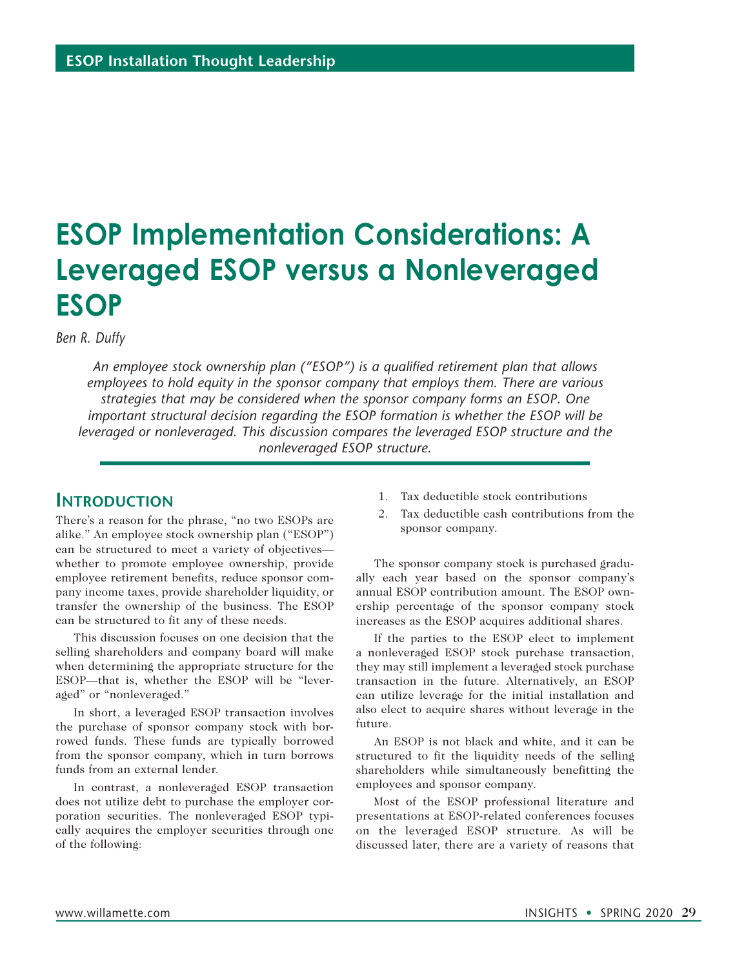# **ESOP Implementation Considerations: A Leveraged ESOP versus a Nonleveraged ESOP**

*Ben R. Duffy*

*An employee stock ownership plan ("ESOP") is a qualified retirement plan that allows employees to hold equity in the sponsor company that employs them. There are various strategies that may be considered when the sponsor company forms an ESOP. One important structural decision regarding the ESOP formation is whether the ESOP will be leveraged or nonleveraged. This discussion compares the leveraged ESOP structure and the nonleveraged ESOP structure.*

## **INTRODUCTION**

There's a reason for the phrase, "no two ESOPs are alike." An employee stock ownership plan ("ESOP") can be structured to meet a variety of objectives whether to promote employee ownership, provide employee retirement benefits, reduce sponsor company income taxes, provide shareholder liquidity, or transfer the ownership of the business. The ESOP can be structured to fit any of these needs.

This discussion focuses on one decision that the selling shareholders and company board will make when determining the appropriate structure for the ESOP—that is, whether the ESOP will be "leveraged" or "nonleveraged."

In short, a leveraged ESOP transaction involves the purchase of sponsor company stock with borrowed funds. These funds are typically borrowed from the sponsor company, which in turn borrows funds from an external lender.

In contrast, a nonleveraged ESOP transaction does not utilize debt to purchase the employer corporation securities. The nonleveraged ESOP typically acquires the employer securities through one of the following:

- 1. Tax deductible stock contributions
- 2. Tax deductible cash contributions from the sponsor company.

The sponsor company stock is purchased gradually each year based on the sponsor company's annual ESOP contribution amount. The ESOP ownership percentage of the sponsor company stock increases as the ESOP acquires additional shares.

If the parties to the ESOP elect to implement a nonleveraged ESOP stock purchase transaction, they may still implement a leveraged stock purchase transaction in the future. Alternatively, an ESOP can utilize leverage for the initial installation and also elect to acquire shares without leverage in the future.

An ESOP is not black and white, and it can be structured to fit the liquidity needs of the selling shareholders while simultaneously benefitting the employees and sponsor company.

Most of the ESOP professional literature and presentations at ESOP-related conferences focuses on the leveraged ESOP structure. As will be discussed later, there are a variety of reasons that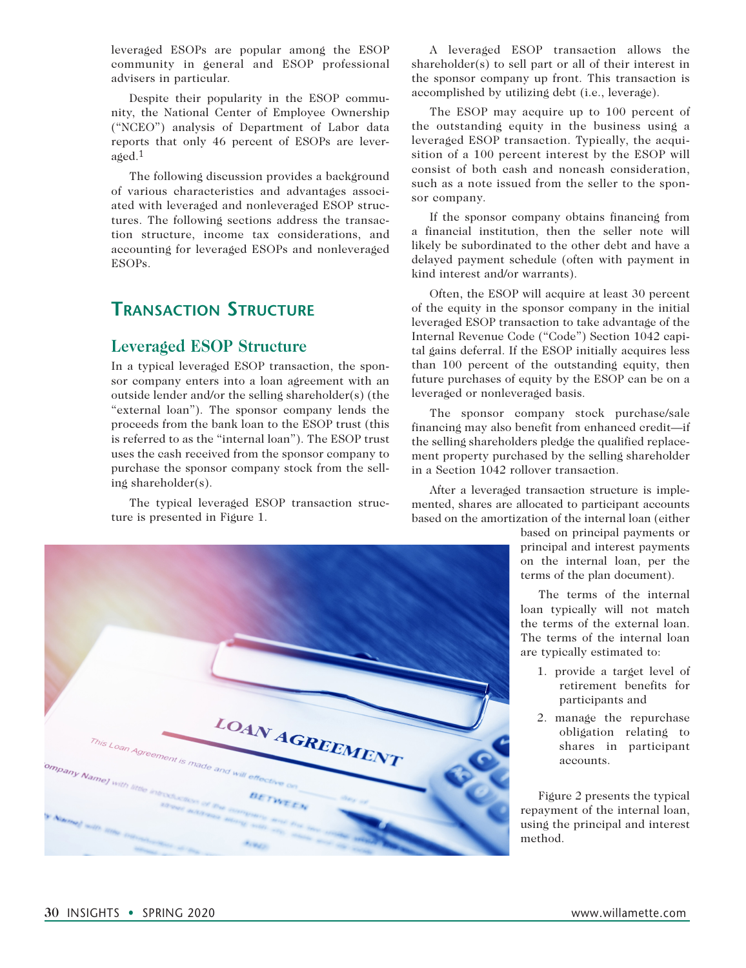leveraged ESOPs are popular among the ESOP community in general and ESOP professional advisers in particular.

Despite their popularity in the ESOP community, the National Center of Employee Ownership ("NCEO") analysis of Department of Labor data reports that only 46 percent of ESOPs are leveraged.1

The following discussion provides a background of various characteristics and advantages associated with leveraged and nonleveraged ESOP structures. The following sections address the transaction structure, income tax considerations, and accounting for leveraged ESOPs and nonleveraged ESOPs.

## **Transaction Structure**

## **Leveraged ESOP Structure**

In a typical leveraged ESOP transaction, the sponsor company enters into a loan agreement with an outside lender and/or the selling shareholder(s) (the "external loan"). The sponsor company lends the proceeds from the bank loan to the ESOP trust (this is referred to as the "internal loan"). The ESOP trust uses the cash received from the sponsor company to purchase the sponsor company stock from the selling shareholder(s).

The typical leveraged ESOP transaction structure is presented in Figure 1.

A leveraged ESOP transaction allows the shareholder(s) to sell part or all of their interest in the sponsor company up front. This transaction is accomplished by utilizing debt (i.e., leverage).

The ESOP may acquire up to 100 percent of the outstanding equity in the business using a leveraged ESOP transaction. Typically, the acquisition of a 100 percent interest by the ESOP will consist of both cash and noncash consideration, such as a note issued from the seller to the sponsor company.

If the sponsor company obtains financing from a financial institution, then the seller note will likely be subordinated to the other debt and have a delayed payment schedule (often with payment in kind interest and/or warrants).

Often, the ESOP will acquire at least 30 percent of the equity in the sponsor company in the initial leveraged ESOP transaction to take advantage of the Internal Revenue Code ("Code") Section 1042 capital gains deferral. If the ESOP initially acquires less than 100 percent of the outstanding equity, then future purchases of equity by the ESOP can be on a leveraged or nonleveraged basis.

The sponsor company stock purchase/sale financing may also benefit from enhanced credit—if the selling shareholders pledge the qualified replacement property purchased by the selling shareholder in a Section 1042 rollover transaction.

After a leveraged transaction structure is implemented, shares are allocated to participant accounts based on the amortization of the internal loan (either

> based on principal payments or principal and interest payments on the internal loan, per the terms of the plan document).

> The terms of the internal loan typically will not match the terms of the external loan. The terms of the internal loan are typically estimated to:

- 1. provide a target level of retirement benefits for participants and
- 2. manage the repurchase obligation relating to shares in participant accounts.

Figure 2 presents the typical repayment of the internal loan, using the principal and interest method.



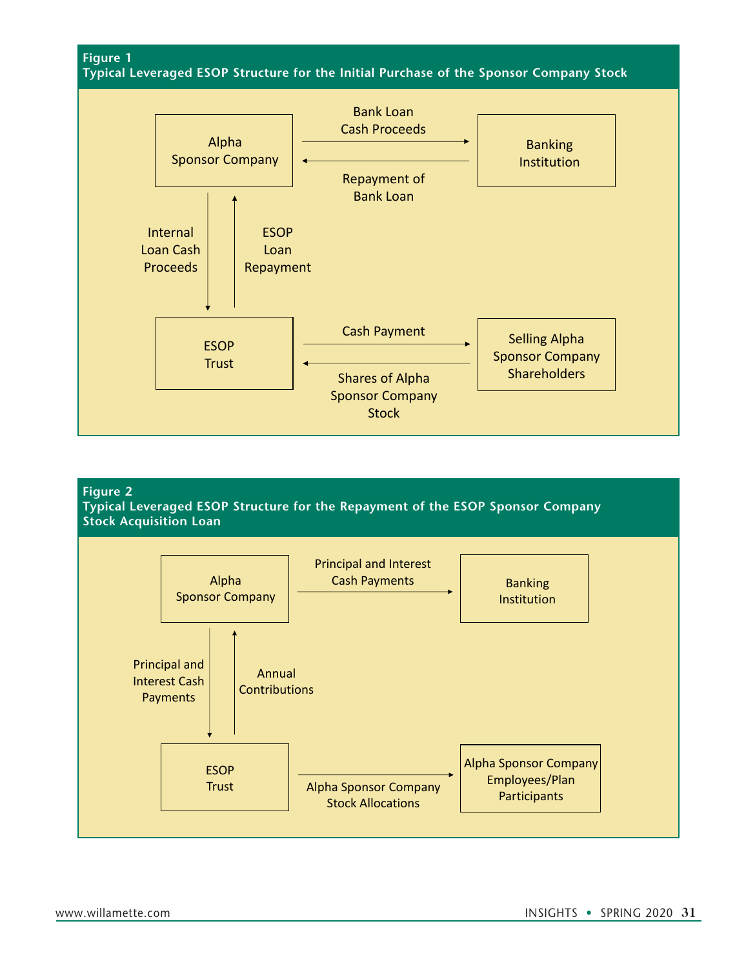**Figure 1**

**Typical Leveraged ESOP Structure for the Initial Purchase of the Sponsor Company Stock**



#### **Figure 2**

**Typical Leveraged ESOP Structure for the Repayment of the ESOP Sponsor Company Stock Acquisition Loan**

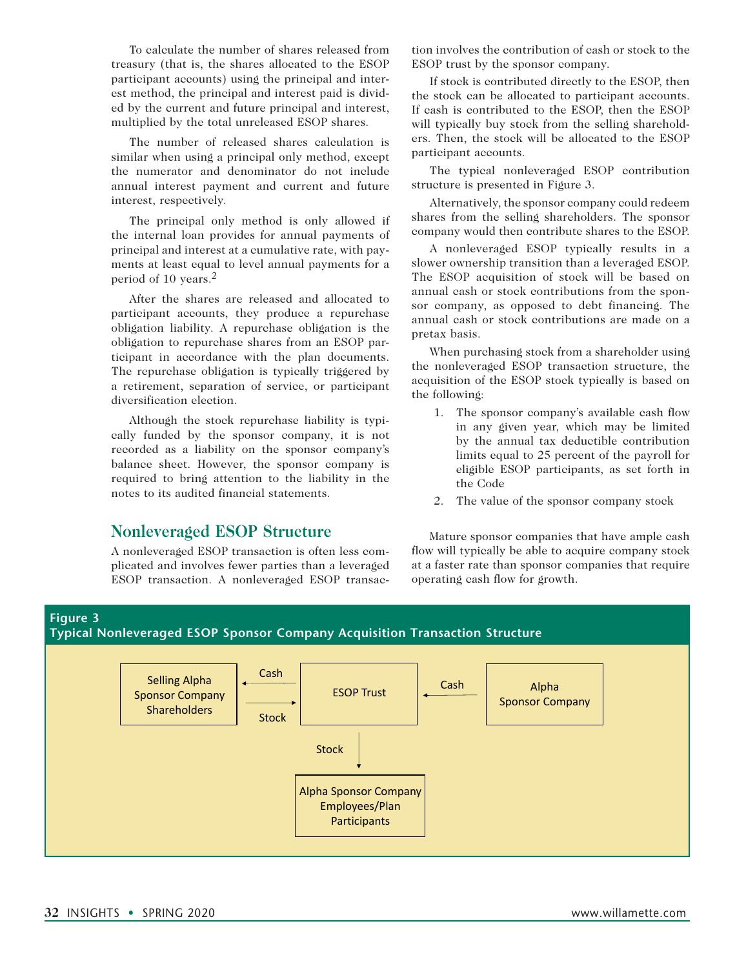To calculate the number of shares released from treasury (that is, the shares allocated to the ESOP participant accounts) using the principal and interest method, the principal and interest paid is divided by the current and future principal and interest, multiplied by the total unreleased ESOP shares.

The number of released shares calculation is similar when using a principal only method, except the numerator and denominator do not include annual interest payment and current and future interest, respectively.

The principal only method is only allowed if the internal loan provides for annual payments of principal and interest at a cumulative rate, with payments at least equal to level annual payments for a period of 10 years.2

After the shares are released and allocated to participant accounts, they produce a repurchase obligation liability. A repurchase obligation is the obligation to repurchase shares from an ESOP participant in accordance with the plan documents. The repurchase obligation is typically triggered by a retirement, separation of service, or participant diversification election.

Although the stock repurchase liability is typically funded by the sponsor company, it is not recorded as a liability on the sponsor company's balance sheet. However, the sponsor company is required to bring attention to the liability in the notes to its audited financial statements.

#### **Nonleveraged ESOP Structure**

A nonleveraged ESOP transaction is often less complicated and involves fewer parties than a leveraged ESOP transaction. A nonleveraged ESOP transac-

**Typical Nonleveraged ESOP Sponsor Company Acquisition Transaction Structure**

tion involves the contribution of cash or stock to the ESOP trust by the sponsor company.

If stock is contributed directly to the ESOP, then the stock can be allocated to participant accounts. If cash is contributed to the ESOP, then the ESOP will typically buy stock from the selling shareholders. Then, the stock will be allocated to the ESOP participant accounts.

The typical nonleveraged ESOP contribution structure is presented in Figure 3.

Alternatively, the sponsor company could redeem shares from the selling shareholders. The sponsor company would then contribute shares to the ESOP.

A nonleveraged ESOP typically results in a slower ownership transition than a leveraged ESOP. The ESOP acquisition of stock will be based on annual cash or stock contributions from the sponsor company, as opposed to debt financing. The annual cash or stock contributions are made on a pretax basis.

When purchasing stock from a shareholder using the nonleveraged ESOP transaction structure, the acquisition of the ESOP stock typically is based on the following:

- 1. The sponsor company's available cash flow in any given year, which may be limited by the annual tax deductible contribution limits equal to 25 percent of the payroll for eligible ESOP participants, as set forth in the Code
- 2. The value of the sponsor company stock

Mature sponsor companies that have ample cash flow will typically be able to acquire company stock at a faster rate than sponsor companies that require operating cash flow for growth.

#### Selling Alpha Sponsor Company Shareholders ESOP Trust Alpha Sponsor Company Employees/Plan **Participants** Alpha Sponsor Company **Stock Stock** Cash Cash

**Figure 3**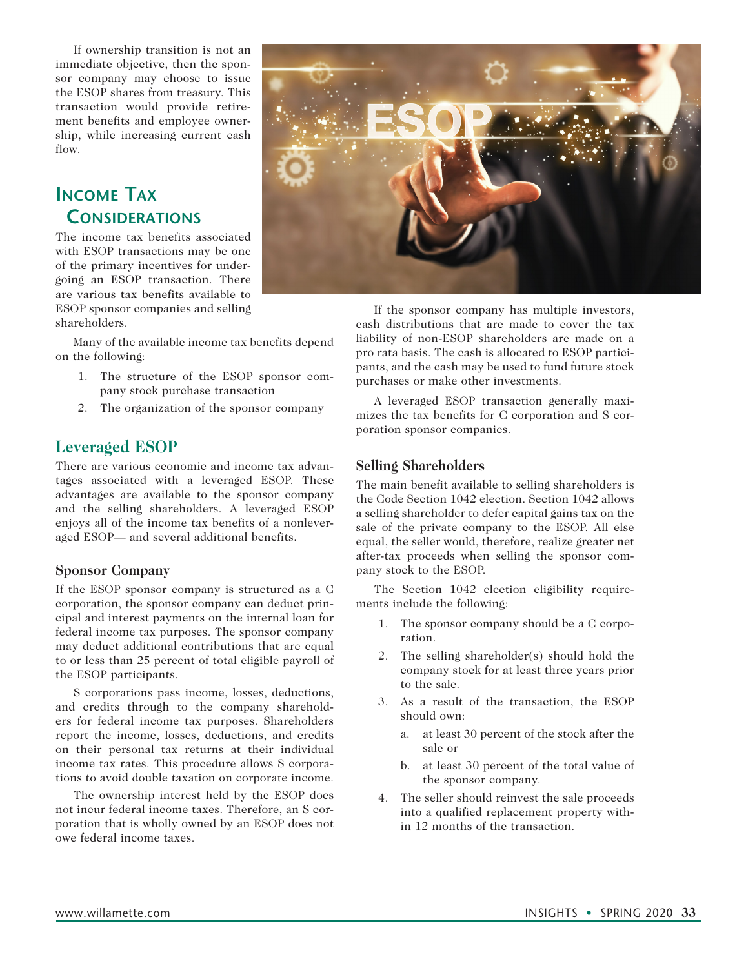If ownership transition is not an immediate objective, then the sponsor company may choose to issue the ESOP shares from treasury. This transaction would provide retirement benefits and employee ownership, while increasing current cash flow.

## **Income Tax Considerations**

The income tax benefits associated with ESOP transactions may be one of the primary incentives for undergoing an ESOP transaction. There are various tax benefits available to ESOP sponsor companies and selling shareholders.

Many of the available income tax benefits depend on the following:

- 1. The structure of the ESOP sponsor company stock purchase transaction
- 2. The organization of the sponsor company

## **Leveraged ESOP**

There are various economic and income tax advantages associated with a leveraged ESOP. These advantages are available to the sponsor company and the selling shareholders. A leveraged ESOP enjoys all of the income tax benefits of a nonleveraged ESOP— and several additional benefits.

#### **Sponsor Company**

If the ESOP sponsor company is structured as a C corporation, the sponsor company can deduct principal and interest payments on the internal loan for federal income tax purposes. The sponsor company may deduct additional contributions that are equal to or less than 25 percent of total eligible payroll of the ESOP participants.

S corporations pass income, losses, deductions, and credits through to the company shareholders for federal income tax purposes. Shareholders report the income, losses, deductions, and credits on their personal tax returns at their individual income tax rates. This procedure allows S corporations to avoid double taxation on corporate income.

The ownership interest held by the ESOP does not incur federal income taxes. Therefore, an S corporation that is wholly owned by an ESOP does not owe federal income taxes.



If the sponsor company has multiple investors, cash distributions that are made to cover the tax liability of non-ESOP shareholders are made on a pro rata basis. The cash is allocated to ESOP participants, and the cash may be used to fund future stock purchases or make other investments.

A leveraged ESOP transaction generally maximizes the tax benefits for C corporation and S corporation sponsor companies.

#### **Selling Shareholders**

The main benefit available to selling shareholders is the Code Section 1042 election. Section 1042 allows a selling shareholder to defer capital gains tax on the sale of the private company to the ESOP. All else equal, the seller would, therefore, realize greater net after-tax proceeds when selling the sponsor company stock to the ESOP.

The Section 1042 election eligibility requirements include the following:

- 1. The sponsor company should be a C corporation.
- 2. The selling shareholder(s) should hold the company stock for at least three years prior to the sale.
- 3. As a result of the transaction, the ESOP should own:
	- a. at least 30 percent of the stock after the sale or
	- b. at least 30 percent of the total value of the sponsor company.
- 4. The seller should reinvest the sale proceeds into a qualified replacement property within 12 months of the transaction.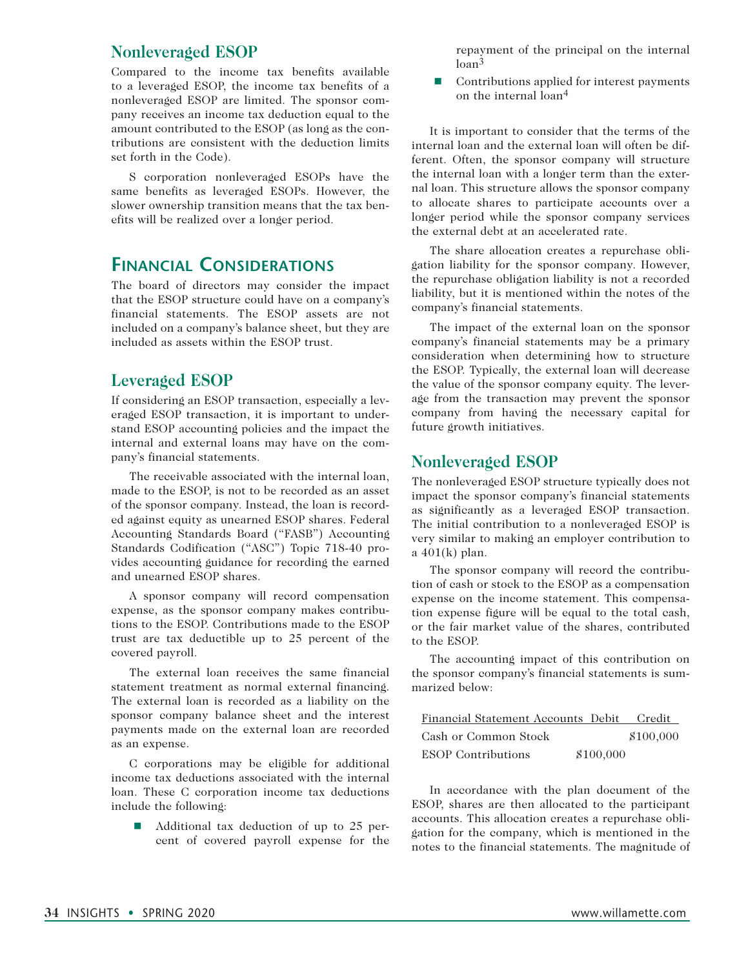## **Nonleveraged ESOP**

Compared to the income tax benefits available to a leveraged ESOP, the income tax benefits of a nonleveraged ESOP are limited. The sponsor company receives an income tax deduction equal to the amount contributed to the ESOP (as long as the contributions are consistent with the deduction limits set forth in the Code).

S corporation nonleveraged ESOPs have the same benefits as leveraged ESOPs. However, the slower ownership transition means that the tax benefits will be realized over a longer period.

## **Financial Considerations**

The board of directors may consider the impact that the ESOP structure could have on a company's financial statements. The ESOP assets are not included on a company's balance sheet, but they are included as assets within the ESOP trust.

## **Leveraged ESOP**

If considering an ESOP transaction, especially a leveraged ESOP transaction, it is important to understand ESOP accounting policies and the impact the internal and external loans may have on the company's financial statements.

The receivable associated with the internal loan, made to the ESOP, is not to be recorded as an asset of the sponsor company. Instead, the loan is recorded against equity as unearned ESOP shares. Federal Accounting Standards Board ("FASB") Accounting Standards Codification ("ASC") Topic 718-40 provides accounting guidance for recording the earned and unearned ESOP shares.

A sponsor company will record compensation expense, as the sponsor company makes contributions to the ESOP. Contributions made to the ESOP trust are tax deductible up to 25 percent of the covered payroll.

The external loan receives the same financial statement treatment as normal external financing. The external loan is recorded as a liability on the sponsor company balance sheet and the interest payments made on the external loan are recorded as an expense.

C corporations may be eligible for additional income tax deductions associated with the internal loan. These C corporation income tax deductions include the following:

 $\blacksquare$  Additional tax deduction of up to 25 percent of covered payroll expense for the

repayment of the principal on the internal loan<sup>3</sup>

 $\blacksquare$  Contributions applied for interest payments on the internal loan4

It is important to consider that the terms of the internal loan and the external loan will often be different. Often, the sponsor company will structure the internal loan with a longer term than the external loan. This structure allows the sponsor company to allocate shares to participate accounts over a longer period while the sponsor company services the external debt at an accelerated rate.

The share allocation creates a repurchase obligation liability for the sponsor company. However, the repurchase obligation liability is not a recorded liability, but it is mentioned within the notes of the company's financial statements.

The impact of the external loan on the sponsor company's financial statements may be a primary consideration when determining how to structure the ESOP. Typically, the external loan will decrease the value of the sponsor company equity. The leverage from the transaction may prevent the sponsor company from having the necessary capital for future growth initiatives.

## **Nonleveraged ESOP**

The nonleveraged ESOP structure typically does not impact the sponsor company's financial statements as significantly as a leveraged ESOP transaction. The initial contribution to a nonleveraged ESOP is very similar to making an employer contribution to a 401(k) plan.

The sponsor company will record the contribution of cash or stock to the ESOP as a compensation expense on the income statement. This compensation expense figure will be equal to the total cash, or the fair market value of the shares, contributed to the ESOP.

The accounting impact of this contribution on the sponsor company's financial statements is summarized below:

| Financial Statement Accounts Debit |           | Credit    |
|------------------------------------|-----------|-----------|
| Cash or Common Stock               |           | \$100,000 |
| <b>ESOP</b> Contributions          | \$100,000 |           |

In accordance with the plan document of the ESOP, shares are then allocated to the participant accounts. This allocation creates a repurchase obligation for the company, which is mentioned in the notes to the financial statements. The magnitude of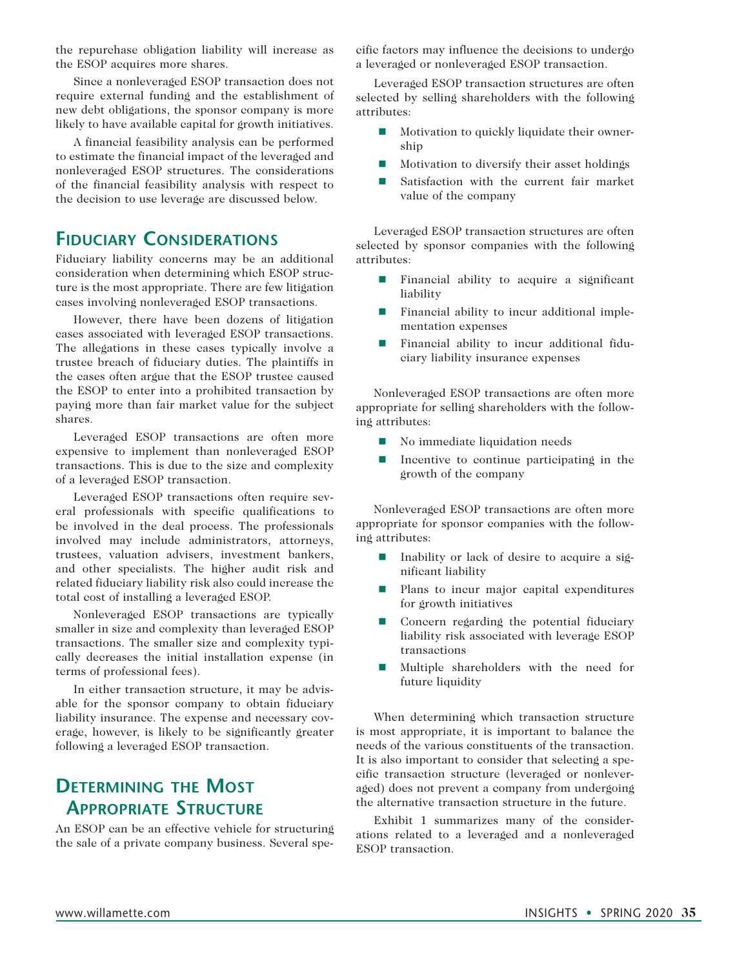the repurchase obligation liability will increase as the ESOP acquires more shares.

Since a nonleveraged ESOP transaction does not require external funding and the establishment of new debt obligations, the sponsor company is more likely to have available capital for growth initiatives.

A financial feasibility analysis can be performed to estimate the financial impact of the leveraged and nonleveraged ESOP structures. The considerations of the financial feasibility analysis with respect to the decision to use leverage are discussed below.

## **Fiduciary Considerations**

Fiduciary liability concerns may be an additional consideration when determining which ESOP structure is the most appropriate. There are few litigation cases involving nonleveraged ESOP transactions.

However, there have been dozens of litigation cases associated with leveraged ESOP transactions. The allegations in these cases typically involve a trustee breach of fiduciary duties. The plaintiffs in the cases often argue that the ESOP trustee caused the ESOP to enter into a prohibited transaction by paying more than fair market value for the subject shares.

Leveraged ESOP transactions are often more expensive to implement than nonleveraged ESOP transactions. This is due to the size and complexity of a leveraged ESOP transaction.

Leveraged ESOP transactions often require several professionals with specific qualifications to be involved in the deal process. The professionals involved may include administrators, attorneys, trustees, valuation advisers, investment bankers, and other specialists. The higher audit risk and related fiduciary liability risk also could increase the total cost of installing a leveraged ESOP.

Nonleveraged ESOP transactions are typically smaller in size and complexity than leveraged ESOP transactions. The smaller size and complexity typically decreases the initial installation expense (in terms of professional fees).

In either transaction structure, it may be advisable for the sponsor company to obtain fiduciary liability insurance. The expense and necessary coverage, however, is likely to be significantly greater following a leveraged ESOP transaction.

# **Determining the Most Appropriate Structure**

An ESOP can be an effective vehicle for structuring the sale of a private company business. Several specific factors may influence the decisions to undergo a leveraged or nonleveraged ESOP transaction.

Leveraged ESOP transaction structures are often selected by selling shareholders with the following attributes:

- $\blacksquare$  Motivation to quickly liquidate their ownership
- n Motivation to diversify their asset holdings
- Satisfaction with the current fair market value of the company

Leveraged ESOP transaction structures are often selected by sponsor companies with the following attributes:

- $\blacksquare$  Financial ability to acquire a significant liability
- $\blacksquare$  Financial ability to incur additional implementation expenses
- n Financial ability to incur additional fiduciary liability insurance expenses

Nonleveraged ESOP transactions are often more appropriate for selling shareholders with the following attributes:

- No immediate liquidation needs
- $\blacksquare$  Incentive to continue participating in the growth of the company

Nonleveraged ESOP transactions are often more appropriate for sponsor companies with the following attributes:

- Inability or lack of desire to acquire a significant liability
- **n** Plans to incur major capital expenditures for growth initiatives
- Concern regarding the potential fiduciary liability risk associated with leverage ESOP transactions
- $\blacksquare$  Multiple shareholders with the need for future liquidity

When determining which transaction structure is most appropriate, it is important to balance the needs of the various constituents of the transaction. It is also important to consider that selecting a specific transaction structure (leveraged or nonleveraged) does not prevent a company from undergoing the alternative transaction structure in the future.

Exhibit 1 summarizes many of the considerations related to a leveraged and a nonleveraged ESOP transaction.